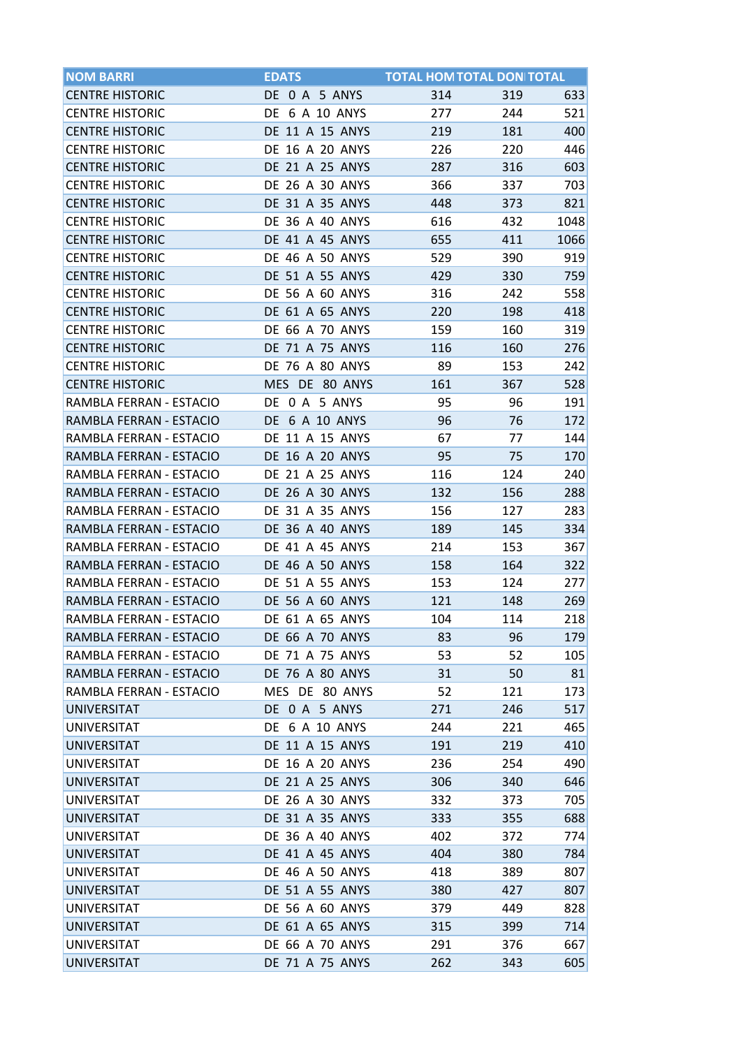| <b>NOM BARRI</b>        | <b>EDATS</b>           | <b>TOTAL HOM TOTAL DON TOTAL</b> |     |      |
|-------------------------|------------------------|----------------------------------|-----|------|
| <b>CENTRE HISTORIC</b>  | DE 0 A 5 ANYS          | 314                              | 319 | 633  |
| <b>CENTRE HISTORIC</b>  | DE 6 A 10 ANYS         | 277                              | 244 | 521  |
| <b>CENTRE HISTORIC</b>  | DE 11 A 15 ANYS        | 219                              | 181 | 400  |
| <b>CENTRE HISTORIC</b>  | DE 16 A 20 ANYS        | 226                              | 220 | 446  |
| <b>CENTRE HISTORIC</b>  | DE 21 A 25 ANYS        | 287                              | 316 | 603  |
| <b>CENTRE HISTORIC</b>  | DE 26 A 30 ANYS        | 366                              | 337 | 703  |
| <b>CENTRE HISTORIC</b>  | DE 31 A 35 ANYS        | 448                              | 373 | 821  |
| <b>CENTRE HISTORIC</b>  | DE 36 A 40 ANYS        | 616                              | 432 | 1048 |
| <b>CENTRE HISTORIC</b>  | DE 41 A 45 ANYS        | 655                              | 411 | 1066 |
| <b>CENTRE HISTORIC</b>  | <b>DE 46 A 50 ANYS</b> | 529                              | 390 | 919  |
| <b>CENTRE HISTORIC</b>  | DE 51 A 55 ANYS        | 429                              | 330 | 759  |
| <b>CENTRE HISTORIC</b>  | DE 56 A 60 ANYS        | 316                              | 242 | 558  |
| <b>CENTRE HISTORIC</b>  | DE 61 A 65 ANYS        | 220                              | 198 | 418  |
| <b>CENTRE HISTORIC</b>  | DE 66 A 70 ANYS        | 159                              | 160 | 319  |
| <b>CENTRE HISTORIC</b>  | DE 71 A 75 ANYS        | 116                              | 160 | 276  |
| <b>CENTRE HISTORIC</b>  | <b>DE 76 A 80 ANYS</b> | 89                               | 153 | 242  |
| <b>CENTRE HISTORIC</b>  | MES DE 80 ANYS         | 161                              | 367 | 528  |
| RAMBLA FERRAN - ESTACIO | DE 0 A 5 ANYS          | 95                               | 96  | 191  |
| RAMBLA FERRAN - ESTACIO | DE 6 A 10 ANYS         | 96                               | 76  | 172  |
| RAMBLA FERRAN - ESTACIO | DE 11 A 15 ANYS        | 67                               | 77  | 144  |
| RAMBLA FERRAN - ESTACIO | DE 16 A 20 ANYS        | 95                               | 75  | 170  |
| RAMBLA FERRAN - ESTACIO | DE 21 A 25 ANYS        | 116                              | 124 | 240  |
| RAMBLA FERRAN - ESTACIO | <b>DE 26 A 30 ANYS</b> | 132                              | 156 | 288  |
| RAMBLA FERRAN - ESTACIO | DE 31 A 35 ANYS        | 156                              | 127 | 283  |
| RAMBLA FERRAN - ESTACIO | DE 36 A 40 ANYS        | 189                              | 145 | 334  |
| RAMBLA FERRAN - ESTACIO | DE 41 A 45 ANYS        | 214                              | 153 | 367  |
| RAMBLA FERRAN - ESTACIO | DE 46 A 50 ANYS        | 158                              | 164 | 322  |
| RAMBLA FERRAN - ESTACIO | DE 51 A 55 ANYS        | 153                              | 124 | 277  |
| RAMBLA FERRAN - ESTACIO | DE 56 A 60 ANYS        | 121                              | 148 | 269  |
| RAMBLA FERRAN - ESTACIO | DE 61 A 65 ANYS        | 104                              | 114 | 218  |
| RAMBLA FERRAN - ESTACIO | DE 66 A 70 ANYS        | 83                               | 96  | 179  |
| RAMBLA FERRAN - ESTACIO | DE 71 A 75 ANYS        | 53                               | 52  | 105  |
| RAMBLA FERRAN - ESTACIO | DE 76 A 80 ANYS        | 31                               | 50  | 81   |
| RAMBLA FERRAN - ESTACIO | MES DE 80 ANYS         | 52                               | 121 | 173  |
| UNIVERSITAT             | DE 0 A 5 ANYS          | 271                              | 246 | 517  |
| UNIVERSITAT             | DE 6 A 10 ANYS         | 244                              | 221 | 465  |
| <b>UNIVERSITAT</b>      | DE 11 A 15 ANYS        | 191                              | 219 | 410  |
| UNIVERSITAT             | DE 16 A 20 ANYS        | 236                              | 254 | 490  |
| <b>UNIVERSITAT</b>      | DE 21 A 25 ANYS        | 306                              | 340 | 646  |
| UNIVERSITAT             | DE 26 A 30 ANYS        | 332                              | 373 | 705  |
| <b>UNIVERSITAT</b>      | DE 31 A 35 ANYS        | 333                              | 355 | 688  |
| UNIVERSITAT             | DE 36 A 40 ANYS        | 402                              | 372 | 774  |
| <b>UNIVERSITAT</b>      | DE 41 A 45 ANYS        | 404                              | 380 | 784  |
| <b>UNIVERSITAT</b>      | DE 46 A 50 ANYS        | 418                              | 389 | 807  |
| <b>UNIVERSITAT</b>      | DE 51 A 55 ANYS        | 380                              | 427 | 807  |
| UNIVERSITAT             | DE 56 A 60 ANYS        | 379                              | 449 | 828  |
| <b>UNIVERSITAT</b>      | DE 61 A 65 ANYS        | 315                              | 399 | 714  |
| <b>UNIVERSITAT</b>      | DE 66 A 70 ANYS        | 291                              | 376 | 667  |
| UNIVERSITAT             | DE 71 A 75 ANYS        | 262                              | 343 | 605  |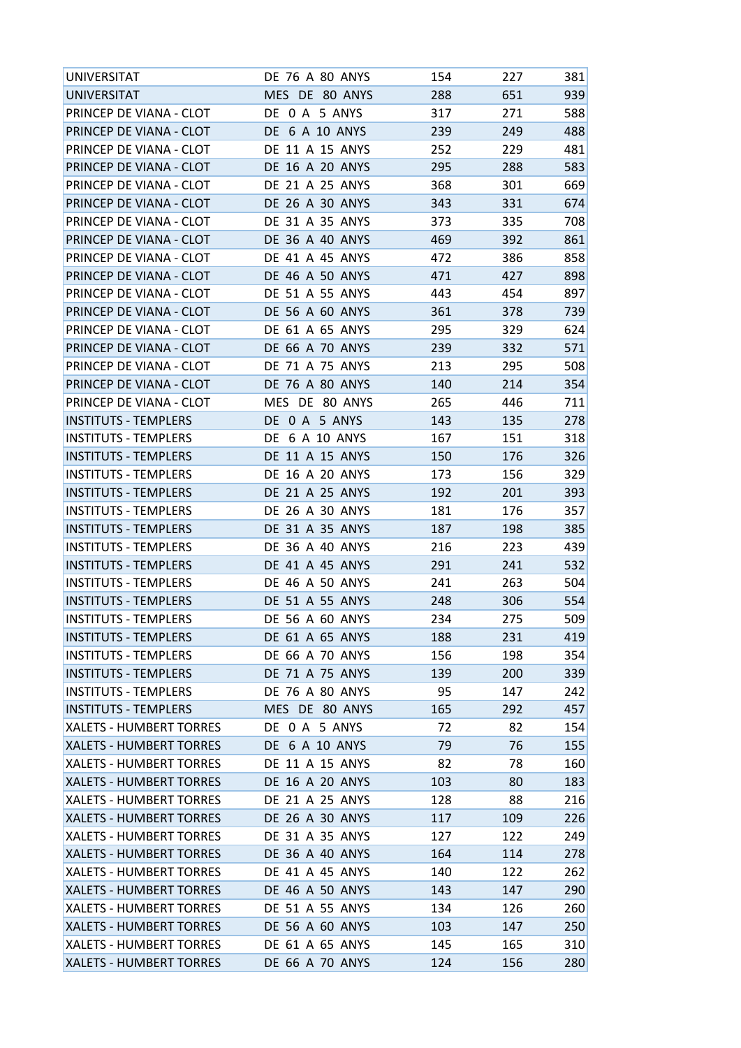| UNIVERSITAT                    | DE 76 A 80 ANYS        | 154 | 227 | 381 |
|--------------------------------|------------------------|-----|-----|-----|
| UNIVERSITAT                    | MES DE 80 ANYS         | 288 | 651 | 939 |
| PRINCEP DE VIANA - CLOT        | DE 0 A 5 ANYS          | 317 | 271 | 588 |
| PRINCEP DE VIANA - CLOT        | DE 6 A 10 ANYS         | 239 | 249 | 488 |
| PRINCEP DE VIANA - CLOT        | DE 11 A 15 ANYS        | 252 | 229 | 481 |
| PRINCEP DE VIANA - CLOT        | DE 16 A 20 ANYS        | 295 | 288 | 583 |
| PRINCEP DE VIANA - CLOT        | DE 21 A 25 ANYS        | 368 | 301 | 669 |
| PRINCEP DE VIANA - CLOT        | DE 26 A 30 ANYS        | 343 | 331 | 674 |
| PRINCEP DE VIANA - CLOT        | DE 31 A 35 ANYS        | 373 | 335 | 708 |
| PRINCEP DE VIANA - CLOT        | DE 36 A 40 ANYS        | 469 | 392 | 861 |
| PRINCEP DE VIANA - CLOT        | DE 41 A 45 ANYS        | 472 | 386 | 858 |
| PRINCEP DE VIANA - CLOT        | DE 46 A 50 ANYS        | 471 | 427 | 898 |
| PRINCEP DE VIANA - CLOT        | DE 51 A 55 ANYS        | 443 | 454 | 897 |
| PRINCEP DE VIANA - CLOT        | DE 56 A 60 ANYS        | 361 | 378 | 739 |
| PRINCEP DE VIANA - CLOT        | DE 61 A 65 ANYS        | 295 | 329 | 624 |
| PRINCEP DE VIANA - CLOT        | DE 66 A 70 ANYS        | 239 | 332 | 571 |
| PRINCEP DE VIANA - CLOT        | DE 71 A 75 ANYS        | 213 | 295 | 508 |
| PRINCEP DE VIANA - CLOT        | DE 76 A 80 ANYS        | 140 | 214 | 354 |
| PRINCEP DE VIANA - CLOT        | MES DE 80 ANYS         | 265 | 446 | 711 |
| <b>INSTITUTS - TEMPLERS</b>    | DE 0 A 5 ANYS          | 143 | 135 | 278 |
| INSTITUTS - TEMPLERS           | DE 6 A 10 ANYS         | 167 | 151 | 318 |
| <b>INSTITUTS - TEMPLERS</b>    | DE 11 A 15 ANYS        | 150 | 176 | 326 |
|                                |                        |     |     |     |
| <b>INSTITUTS - TEMPLERS</b>    | DE 16 A 20 ANYS        | 173 | 156 | 329 |
| <b>INSTITUTS - TEMPLERS</b>    | DE 21 A 25 ANYS        | 192 | 201 | 393 |
| <b>INSTITUTS - TEMPLERS</b>    | DE 26 A 30 ANYS        | 181 | 176 | 357 |
| <b>INSTITUTS - TEMPLERS</b>    | DE 31 A 35 ANYS        | 187 | 198 | 385 |
| <b>INSTITUTS - TEMPLERS</b>    | DE 36 A 40 ANYS        | 216 | 223 | 439 |
| <b>INSTITUTS - TEMPLERS</b>    | DE 41 A 45 ANYS        | 291 | 241 | 532 |
| <b>INSTITUTS - TEMPLERS</b>    | DE 46 A 50 ANYS        | 241 | 263 | 504 |
| <b>INSTITUTS - TEMPLERS</b>    | DE 51 A 55 ANYS        | 248 | 306 | 554 |
| <b>INSTITUTS - TEMPLERS</b>    | <b>DE 56 A 60 ANYS</b> | 234 | 275 | 509 |
| <b>INSTITUTS - TEMPLERS</b>    | DE 61 A 65 ANYS        | 188 | 231 | 419 |
| <b>INSTITUTS - TEMPLERS</b>    | DE 66 A 70 ANYS        | 156 | 198 | 354 |
| <b>INSTITUTS - TEMPLERS</b>    | DE 71 A 75 ANYS        | 139 | 200 | 339 |
| <b>INSTITUTS - TEMPLERS</b>    | DE 76 A 80 ANYS        | 95  | 147 | 242 |
| <b>INSTITUTS - TEMPLERS</b>    | MES DE 80 ANYS         | 165 | 292 | 457 |
| <b>XALETS - HUMBERT TORRES</b> | DE 0 A 5 ANYS          | 72  | 82  | 154 |
| XALETS - HUMBERT TORRES        | DE 6 A 10 ANYS         | 79  | 76  | 155 |
| <b>XALETS - HUMBERT TORRES</b> | DE 11 A 15 ANYS        | 82  | 78  | 160 |
| <b>XALETS - HUMBERT TORRES</b> | DE 16 A 20 ANYS        | 103 | 80  | 183 |
| <b>XALETS - HUMBERT TORRES</b> | DE 21 A 25 ANYS        | 128 | 88  | 216 |
| <b>XALETS - HUMBERT TORRES</b> | DE 26 A 30 ANYS        | 117 | 109 | 226 |
| <b>XALETS - HUMBERT TORRES</b> | DE 31 A 35 ANYS        | 127 | 122 | 249 |
| <b>XALETS - HUMBERT TORRES</b> | DE 36 A 40 ANYS        | 164 | 114 | 278 |
| <b>XALETS - HUMBERT TORRES</b> | DE 41 A 45 ANYS        | 140 | 122 | 262 |
| <b>XALETS - HUMBERT TORRES</b> | DE 46 A 50 ANYS        | 143 | 147 | 290 |
| XALETS - HUMBERT TORRES        | DE 51 A 55 ANYS        | 134 | 126 | 260 |
| XALETS - HUMBERT TORRES        | DE 56 A 60 ANYS        | 103 | 147 | 250 |
| <b>XALETS - HUMBERT TORRES</b> | DE 61 A 65 ANYS        | 145 | 165 | 310 |
| XALETS - HUMBERT TORRES        | DE 66 A 70 ANYS        | 124 | 156 | 280 |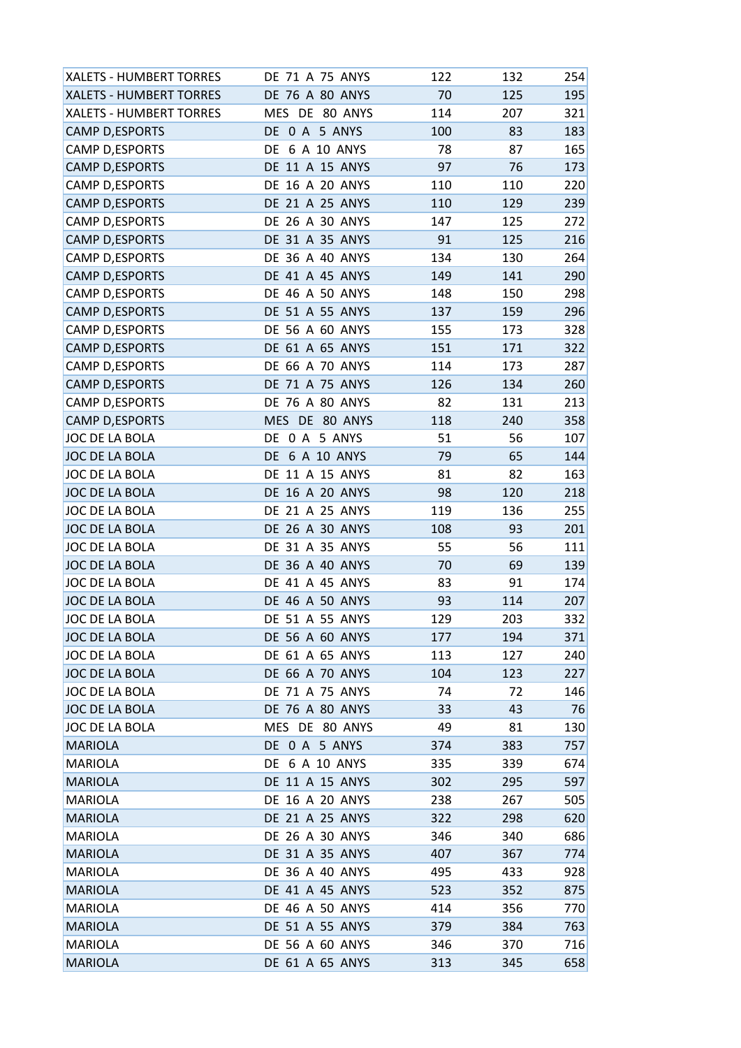| <b>XALETS - HUMBERT TORRES</b> | DE 71 A 75 ANYS        | 122 | 132 | 254 |
|--------------------------------|------------------------|-----|-----|-----|
| <b>XALETS - HUMBERT TORRES</b> | DE 76 A 80 ANYS        | 70  | 125 | 195 |
| XALETS - HUMBERT TORRES        | MES DE 80 ANYS         | 114 | 207 | 321 |
| CAMP D, ESPORTS                | DE 0 A 5 ANYS          | 100 | 83  | 183 |
| <b>CAMP D, ESPORTS</b>         | DE 6 A 10 ANYS         | 78  | 87  | 165 |
| <b>CAMP D, ESPORTS</b>         | DE 11 A 15 ANYS        | 97  | 76  | 173 |
| <b>CAMP D,ESPORTS</b>          | DE 16 A 20 ANYS        | 110 | 110 | 220 |
| CAMP D, ESPORTS                | DE 21 A 25 ANYS        | 110 | 129 | 239 |
| CAMP D, ESPORTS                | DE 26 A 30 ANYS        | 147 | 125 | 272 |
| <b>CAMP D, ESPORTS</b>         | DE 31 A 35 ANYS        | 91  | 125 | 216 |
| <b>CAMP D,ESPORTS</b>          | DE 36 A 40 ANYS        | 134 | 130 | 264 |
| <b>CAMP D,ESPORTS</b>          | <b>DE 41 A 45 ANYS</b> | 149 | 141 | 290 |
| CAMP D, ESPORTS                | DE 46 A 50 ANYS        | 148 | 150 | 298 |
| CAMP D, ESPORTS                | DE 51 A 55 ANYS        | 137 | 159 | 296 |
| CAMP D, ESPORTS                | DE 56 A 60 ANYS        | 155 | 173 | 328 |
| <b>CAMP D,ESPORTS</b>          | DE 61 A 65 ANYS        | 151 | 171 | 322 |
| <b>CAMP D, ESPORTS</b>         | DE 66 A 70 ANYS        | 114 | 173 | 287 |
| <b>CAMP D, ESPORTS</b>         | DE 71 A 75 ANYS        | 126 | 134 | 260 |
| <b>CAMP D, ESPORTS</b>         | DE 76 A 80 ANYS        | 82  | 131 | 213 |
| <b>CAMP D, ESPORTS</b>         | MES DE 80 ANYS         | 118 | 240 | 358 |
| JOC DE LA BOLA                 | DE 0 A 5 ANYS          | 51  | 56  | 107 |
| JOC DE LA BOLA                 | DE 6 A 10 ANYS         | 79  | 65  | 144 |
| JOC DE LA BOLA                 | DE 11 A 15 ANYS        | 81  | 82  | 163 |
| JOC DE LA BOLA                 | DE 16 A 20 ANYS        | 98  | 120 | 218 |
| JOC DE LA BOLA                 | DE 21 A 25 ANYS        | 119 | 136 | 255 |
| JOC DE LA BOLA                 | DE 26 A 30 ANYS        | 108 | 93  | 201 |
| JOC DE LA BOLA                 | DE 31 A 35 ANYS        | 55  | 56  | 111 |
| JOC DE LA BOLA                 | DE 36 A 40 ANYS        | 70  | 69  | 139 |
| JOC DE LA BOLA                 | DE 41 A 45 ANYS        | 83  | 91  | 174 |
| JOC DE LA BOLA                 | DE 46 A 50 ANYS        | 93  | 114 | 207 |
| JOC DE LA BOLA                 | DE 51 A 55 ANYS        | 129 | 203 | 332 |
| JOC DE LA BOLA                 | <b>DE 56 A 60 ANYS</b> | 177 | 194 | 371 |
| JOC DE LA BOLA                 | DE 61 A 65 ANYS        | 113 | 127 | 240 |
| JOC DE LA BOLA                 | DE 66 A 70 ANYS        | 104 | 123 | 227 |
| JOC DE LA BOLA                 | DE 71 A 75 ANYS        | 74  | 72  | 146 |
| JOC DE LA BOLA                 | DE 76 A 80 ANYS        | 33  | 43  | 76  |
| JOC DE LA BOLA                 | MES DE 80 ANYS         | 49  | 81  | 130 |
| <b>MARIOLA</b>                 | DE 0 A 5 ANYS          | 374 | 383 | 757 |
| <b>MARIOLA</b>                 | DE 6 A 10 ANYS         | 335 | 339 | 674 |
| <b>MARIOLA</b>                 | DE 11 A 15 ANYS        | 302 | 295 | 597 |
| <b>MARIOLA</b>                 | DE 16 A 20 ANYS        | 238 | 267 | 505 |
| <b>MARIOLA</b>                 | DE 21 A 25 ANYS        | 322 | 298 | 620 |
| <b>MARIOLA</b>                 | DE 26 A 30 ANYS        | 346 | 340 | 686 |
| <b>MARIOLA</b>                 | DE 31 A 35 ANYS        | 407 | 367 | 774 |
| <b>MARIOLA</b>                 | DE 36 A 40 ANYS        | 495 | 433 | 928 |
| <b>MARIOLA</b>                 | DE 41 A 45 ANYS        | 523 | 352 | 875 |
| <b>MARIOLA</b>                 | DE 46 A 50 ANYS        | 414 | 356 | 770 |
| <b>MARIOLA</b>                 | DE 51 A 55 ANYS        | 379 | 384 | 763 |
| <b>MARIOLA</b>                 | DE 56 A 60 ANYS        | 346 | 370 | 716 |
| <b>MARIOLA</b>                 | DE 61 A 65 ANYS        | 313 | 345 | 658 |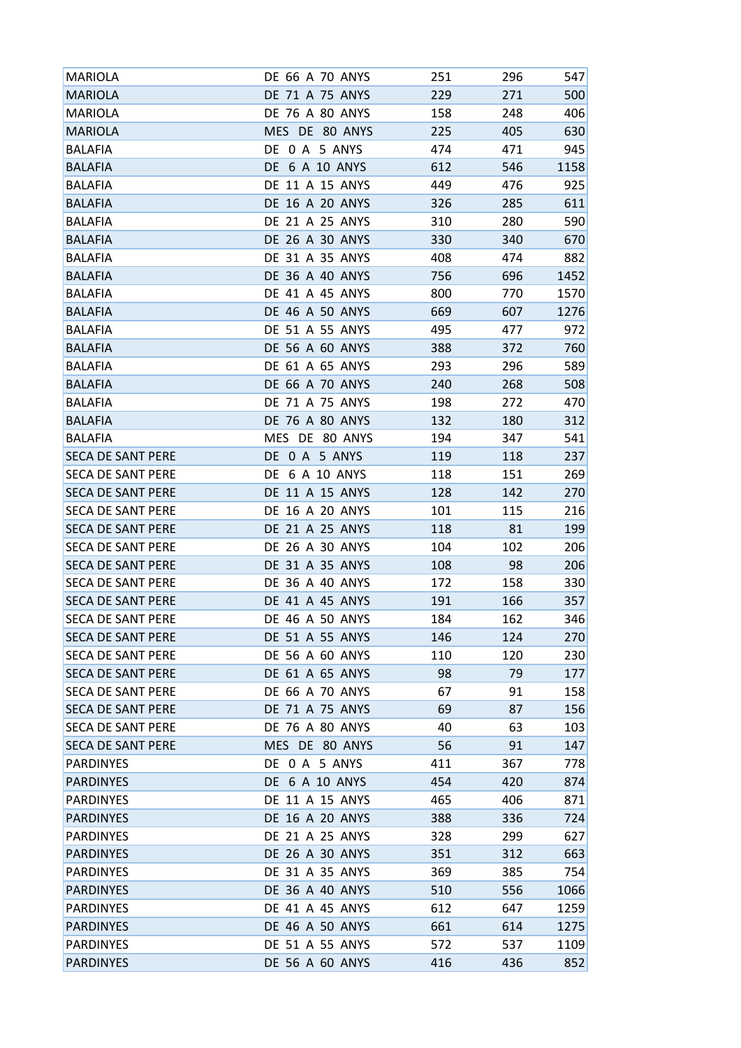| MARIOLA                  | DE 66 A 70 ANYS        | 251 | 296 | 547  |
|--------------------------|------------------------|-----|-----|------|
| <b>MARIOLA</b>           | DE 71 A 75 ANYS        | 229 | 271 | 500  |
| MARIOLA                  | DE 76 A 80 ANYS        | 158 | 248 | 406  |
| <b>MARIOLA</b>           | MES DE 80 ANYS         | 225 | 405 | 630  |
| <b>BALAFIA</b>           | DE 0 A 5 ANYS          | 474 | 471 | 945  |
| <b>BALAFIA</b>           | DE 6 A 10 ANYS         | 612 | 546 | 1158 |
| <b>BALAFIA</b>           | DE 11 A 15 ANYS        | 449 | 476 | 925  |
| <b>BALAFIA</b>           | <b>DE 16 A 20 ANYS</b> | 326 | 285 | 611  |
| <b>BALAFIA</b>           | DE 21 A 25 ANYS        | 310 | 280 | 590  |
| <b>BALAFIA</b>           | DE 26 A 30 ANYS        | 330 | 340 | 670  |
| <b>BALAFIA</b>           | DE 31 A 35 ANYS        | 408 | 474 | 882  |
| <b>BALAFIA</b>           | DE 36 A 40 ANYS        | 756 | 696 | 1452 |
| BALAFIA                  | DE 41 A 45 ANYS        | 800 | 770 | 1570 |
| <b>BALAFIA</b>           | DE 46 A 50 ANYS        | 669 | 607 | 1276 |
| <b>BALAFIA</b>           | DE 51 A 55 ANYS        | 495 | 477 | 972  |
| <b>BALAFIA</b>           | DE 56 A 60 ANYS        | 388 | 372 | 760  |
| <b>BALAFIA</b>           | DE 61 A 65 ANYS        | 293 | 296 | 589  |
| <b>BALAFIA</b>           | <b>DE 66 A 70 ANYS</b> | 240 | 268 | 508  |
| <b>BALAFIA</b>           | DE 71 A 75 ANYS        | 198 | 272 | 470  |
| <b>BALAFIA</b>           | <b>DE 76 A 80 ANYS</b> | 132 | 180 | 312  |
| <b>BALAFIA</b>           | MES DE 80 ANYS         | 194 | 347 | 541  |
| <b>SECA DE SANT PERE</b> | DE 0 A 5 ANYS          | 119 | 118 | 237  |
| <b>SECA DE SANT PERE</b> | DE 6 A 10 ANYS         | 118 | 151 | 269  |
| <b>SECA DE SANT PERE</b> | DE 11 A 15 ANYS        | 128 | 142 | 270  |
| <b>SECA DE SANT PERE</b> | DE 16 A 20 ANYS        | 101 | 115 | 216  |
| <b>SECA DE SANT PERE</b> | DE 21 A 25 ANYS        | 118 | 81  | 199  |
| <b>SECA DE SANT PERE</b> | <b>DE 26 A 30 ANYS</b> | 104 | 102 | 206  |
| <b>SECA DE SANT PERE</b> | DE 31 A 35 ANYS        | 108 | 98  | 206  |
| <b>SECA DE SANT PERE</b> | <b>DE 36 A 40 ANYS</b> | 172 | 158 | 330  |
| <b>SECA DE SANT PERE</b> | DE 41 A 45 ANYS        | 191 | 166 | 357  |
| <b>SECA DE SANT PERE</b> | <b>DE 46 A 50 ANYS</b> | 184 | 162 | 346  |
| <b>SECA DE SANT PERE</b> | DE 51 A 55 ANYS        | 146 | 124 | 270  |
| <b>SECA DE SANT PERE</b> | DE 56 A 60 ANYS        | 110 | 120 | 230  |
| <b>SECA DE SANT PERE</b> | DE 61 A 65 ANYS        | 98  | 79  | 177  |
| <b>SECA DE SANT PERE</b> | DE 66 A 70 ANYS        | 67  | 91  | 158  |
| <b>SECA DE SANT PERE</b> | DE 71 A 75 ANYS        | 69  | 87  | 156  |
| <b>SECA DE SANT PERE</b> | DE 76 A 80 ANYS        | 40  | 63  | 103  |
| <b>SECA DE SANT PERE</b> | MES DE 80 ANYS         | 56  | 91  | 147  |
| <b>PARDINYES</b>         | DE 0 A 5 ANYS          | 411 | 367 | 778  |
| <b>PARDINYES</b>         | DE 6 A 10 ANYS         | 454 | 420 | 874  |
| <b>PARDINYES</b>         | DE 11 A 15 ANYS        | 465 | 406 | 871  |
| <b>PARDINYES</b>         | DE 16 A 20 ANYS        | 388 | 336 | 724  |
| <b>PARDINYES</b>         | DE 21 A 25 ANYS        | 328 | 299 | 627  |
| <b>PARDINYES</b>         | DE 26 A 30 ANYS        | 351 | 312 | 663  |
| <b>PARDINYES</b>         | DE 31 A 35 ANYS        | 369 | 385 | 754  |
| <b>PARDINYES</b>         | DE 36 A 40 ANYS        | 510 | 556 | 1066 |
| <b>PARDINYES</b>         | DE 41 A 45 ANYS        | 612 | 647 | 1259 |
| <b>PARDINYES</b>         | DE 46 A 50 ANYS        | 661 | 614 | 1275 |
| <b>PARDINYES</b>         | DE 51 A 55 ANYS        | 572 | 537 | 1109 |
| <b>PARDINYES</b>         | DE 56 A 60 ANYS        | 416 | 436 | 852  |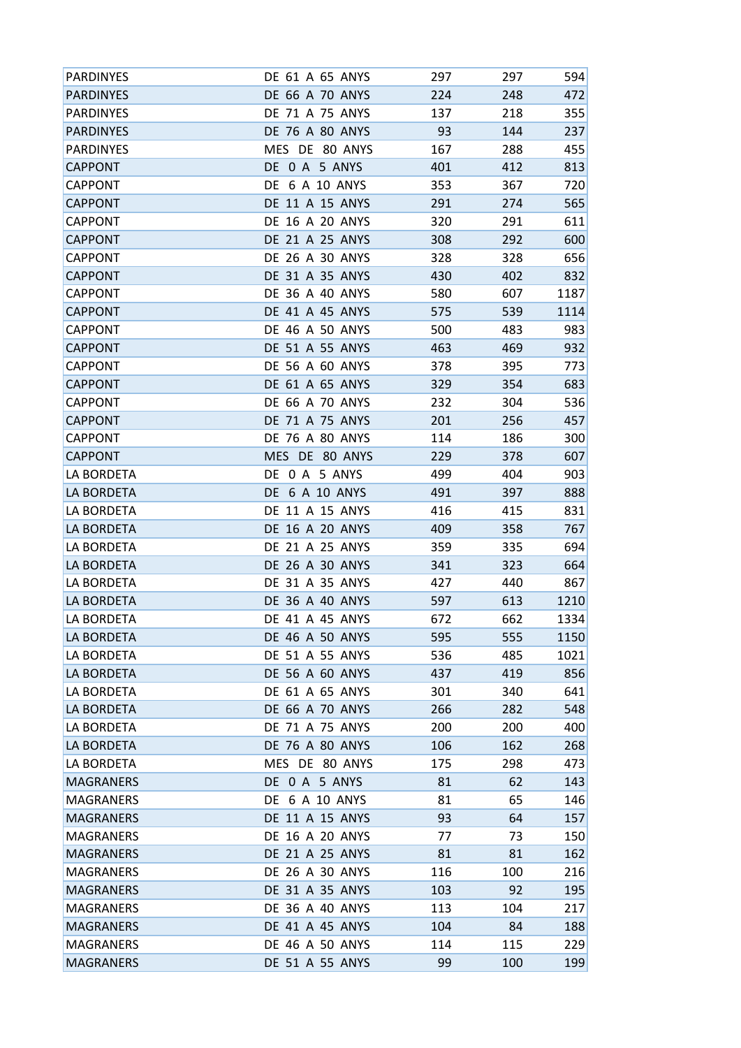| <b>PARDINYES</b> | DE 61 A 65 ANYS        | 297 | 297 | 594  |
|------------------|------------------------|-----|-----|------|
| <b>PARDINYES</b> | DE 66 A 70 ANYS        | 224 | 248 | 472  |
| <b>PARDINYES</b> | DE 71 A 75 ANYS        | 137 | 218 | 355  |
| <b>PARDINYES</b> | DE 76 A 80 ANYS        | 93  | 144 | 237  |
| <b>PARDINYES</b> | MES DE 80 ANYS         | 167 | 288 | 455  |
| <b>CAPPONT</b>   | DE 0 A 5 ANYS          | 401 | 412 | 813  |
| <b>CAPPONT</b>   | DE 6 A 10 ANYS         | 353 | 367 | 720  |
| <b>CAPPONT</b>   | DE 11 A 15 ANYS        | 291 | 274 | 565  |
| <b>CAPPONT</b>   | DE 16 A 20 ANYS        | 320 | 291 | 611  |
| <b>CAPPONT</b>   | DE 21 A 25 ANYS        | 308 | 292 | 600  |
| <b>CAPPONT</b>   | DE 26 A 30 ANYS        | 328 | 328 | 656  |
| <b>CAPPONT</b>   | DE 31 A 35 ANYS        | 430 | 402 | 832  |
| <b>CAPPONT</b>   | <b>DE 36 A 40 ANYS</b> | 580 | 607 | 1187 |
| <b>CAPPONT</b>   | DE 41 A 45 ANYS        | 575 | 539 | 1114 |
| <b>CAPPONT</b>   | DE 46 A 50 ANYS        | 500 | 483 | 983  |
| <b>CAPPONT</b>   | DE 51 A 55 ANYS        | 463 | 469 | 932  |
| <b>CAPPONT</b>   | <b>DE 56 A 60 ANYS</b> | 378 | 395 | 773  |
| <b>CAPPONT</b>   | DE 61 A 65 ANYS        | 329 | 354 | 683  |
| <b>CAPPONT</b>   | DE 66 A 70 ANYS        | 232 | 304 | 536  |
| <b>CAPPONT</b>   | DE 71 A 75 ANYS        | 201 | 256 | 457  |
| <b>CAPPONT</b>   | DE 76 A 80 ANYS        | 114 | 186 | 300  |
| <b>CAPPONT</b>   | MES DE 80 ANYS         | 229 | 378 | 607  |
| LA BORDETA       | DE 0 A 5 ANYS          | 499 | 404 | 903  |
| LA BORDETA       | DE 6 A 10 ANYS         | 491 | 397 | 888  |
| LA BORDETA       | DE 11 A 15 ANYS        | 416 | 415 | 831  |
| LA BORDETA       | DE 16 A 20 ANYS        | 409 | 358 | 767  |
| LA BORDETA       | DE 21 A 25 ANYS        | 359 | 335 | 694  |
| LA BORDETA       | DE 26 A 30 ANYS        | 341 | 323 | 664  |
| LA BORDETA       | DE 31 A 35 ANYS        | 427 | 440 | 867  |
| LA BORDETA       | DE 36 A 40 ANYS        | 597 | 613 | 1210 |
| LA BORDETA       | <b>DE 41 A 45 ANYS</b> | 672 | 662 | 1334 |
| LA BORDETA       | DE 46 A 50 ANYS        | 595 | 555 | 1150 |
| LA BORDETA       | DE 51 A 55 ANYS        | 536 | 485 | 1021 |
| LA BORDETA       | <b>DE 56 A 60 ANYS</b> | 437 | 419 | 856  |
| LA BORDETA       | DE 61 A 65 ANYS        | 301 | 340 | 641  |
| LA BORDETA       | DE 66 A 70 ANYS        | 266 | 282 | 548  |
| LA BORDETA       | DE 71 A 75 ANYS        | 200 | 200 | 400  |
| LA BORDETA       | DE 76 A 80 ANYS        | 106 | 162 | 268  |
| LA BORDETA       | MES DE 80 ANYS         | 175 | 298 | 473  |
| <b>MAGRANERS</b> | DE 0 A 5 ANYS          | 81  | 62  | 143  |
| MAGRANERS        | DE 6 A 10 ANYS         | 81  | 65  | 146  |
| <b>MAGRANERS</b> | DE 11 A 15 ANYS        | 93  | 64  | 157  |
| <b>MAGRANERS</b> | DE 16 A 20 ANYS        | 77  | 73  | 150  |
| <b>MAGRANERS</b> | DE 21 A 25 ANYS        | 81  | 81  | 162  |
| MAGRANERS        | DE 26 A 30 ANYS        | 116 | 100 | 216  |
| <b>MAGRANERS</b> | DE 31 A 35 ANYS        | 103 | 92  | 195  |
| MAGRANERS        | DE 36 A 40 ANYS        | 113 | 104 | 217  |
| <b>MAGRANERS</b> | DE 41 A 45 ANYS        | 104 | 84  | 188  |
| <b>MAGRANERS</b> | DE 46 A 50 ANYS        | 114 | 115 | 229  |
|                  |                        |     |     |      |
| <b>MAGRANERS</b> | DE 51 A 55 ANYS        | 99  | 100 | 199  |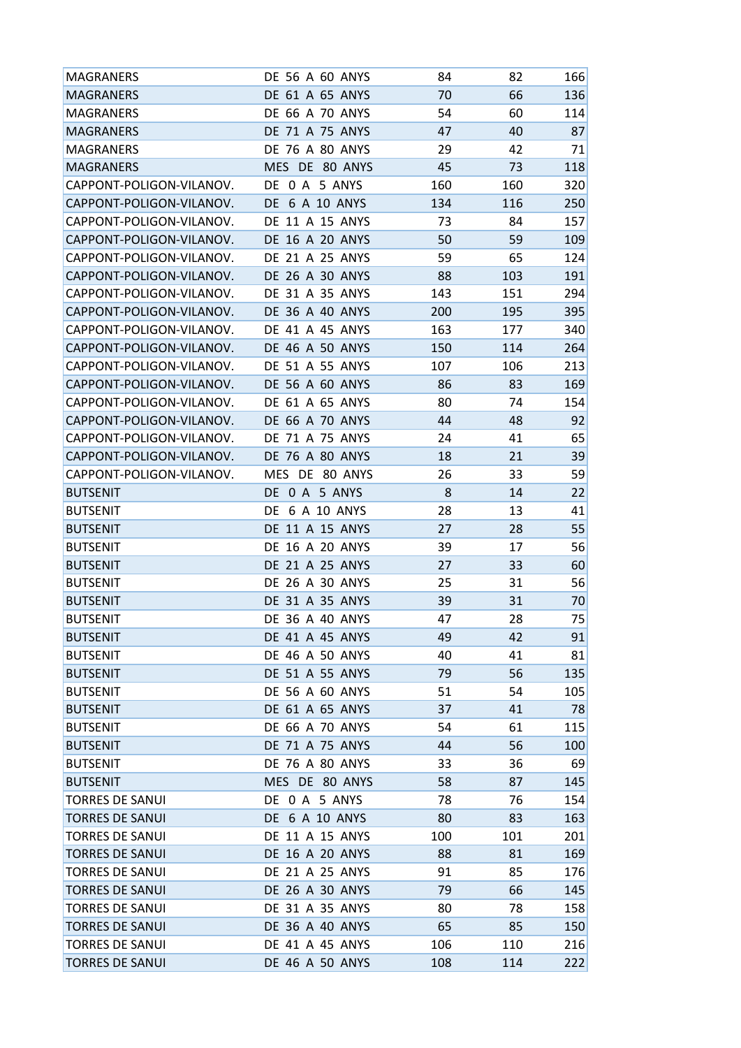| MAGRANERS                | DE 56 A 60 ANYS        | 84  | 82  | 166 |
|--------------------------|------------------------|-----|-----|-----|
| <b>MAGRANERS</b>         | DE 61 A 65 ANYS        | 70  | 66  | 136 |
| <b>MAGRANERS</b>         | <b>DE 66 A 70 ANYS</b> | 54  | 60  | 114 |
| <b>MAGRANERS</b>         | DE 71 A 75 ANYS        | 47  | 40  | 87  |
| <b>MAGRANERS</b>         | <b>DE 76 A 80 ANYS</b> | 29  | 42  | 71  |
| <b>MAGRANERS</b>         | MES DE 80 ANYS         | 45  | 73  | 118 |
| CAPPONT-POLIGON-VILANOV. | DE 0 A 5 ANYS          | 160 | 160 | 320 |
| CAPPONT-POLIGON-VILANOV. | DE 6 A 10 ANYS         | 134 | 116 | 250 |
| CAPPONT-POLIGON-VILANOV. | DE 11 A 15 ANYS        | 73  | 84  | 157 |
| CAPPONT-POLIGON-VILANOV. | <b>DE 16 A 20 ANYS</b> | 50  | 59  | 109 |
| CAPPONT-POLIGON-VILANOV. | DE 21 A 25 ANYS        | 59  | 65  | 124 |
| CAPPONT-POLIGON-VILANOV. | DE 26 A 30 ANYS        | 88  | 103 | 191 |
| CAPPONT-POLIGON-VILANOV. | DE 31 A 35 ANYS        | 143 | 151 | 294 |
| CAPPONT-POLIGON-VILANOV. | <b>DE 36 A 40 ANYS</b> | 200 | 195 | 395 |
| CAPPONT-POLIGON-VILANOV. | DE 41 A 45 ANYS        | 163 | 177 | 340 |
| CAPPONT-POLIGON-VILANOV. | <b>DE 46 A 50 ANYS</b> | 150 | 114 | 264 |
| CAPPONT-POLIGON-VILANOV. | DE 51 A 55 ANYS        | 107 | 106 | 213 |
| CAPPONT-POLIGON-VILANOV. | <b>DE 56 A 60 ANYS</b> | 86  | 83  | 169 |
| CAPPONT-POLIGON-VILANOV. | DE 61 A 65 ANYS        | 80  | 74  | 154 |
| CAPPONT-POLIGON-VILANOV. | <b>DE 66 A 70 ANYS</b> | 44  | 48  | 92  |
| CAPPONT-POLIGON-VILANOV. | DE 71 A 75 ANYS        | 24  | 41  | 65  |
| CAPPONT-POLIGON-VILANOV. | <b>DE 76 A 80 ANYS</b> | 18  | 21  | 39  |
| CAPPONT-POLIGON-VILANOV. | MES DE 80 ANYS         | 26  | 33  | 59  |
| <b>BUTSENIT</b>          | DE 0 A 5 ANYS          | 8   | 14  | 22  |
| <b>BUTSENIT</b>          | DE 6 A 10 ANYS         | 28  | 13  | 41  |
| <b>BUTSENIT</b>          | DE 11 A 15 ANYS        | 27  | 28  | 55  |
| <b>BUTSENIT</b>          | DE 16 A 20 ANYS        | 39  | 17  | 56  |
| <b>BUTSENIT</b>          | DE 21 A 25 ANYS        | 27  | 33  | 60  |
| <b>BUTSENIT</b>          | DE 26 A 30 ANYS        | 25  | 31  | 56  |
| <b>BUTSENIT</b>          | DE 31 A 35 ANYS        | 39  | 31  | 70  |
| <b>BUTSENIT</b>          | DE 36 A 40 ANYS        | 47  | 28  | 75  |
| <b>BUTSENIT</b>          | DE 41 A 45 ANYS        | 49  | 42  | 91  |
| <b>BUTSENIT</b>          | DE 46 A 50 ANYS        | 40  | 41  | 81  |
| <b>BUTSENIT</b>          | DE 51 A 55 ANYS        | 79  | 56  | 135 |
| <b>BUTSENIT</b>          | DE 56 A 60 ANYS        | 51  | 54  | 105 |
| <b>BUTSENIT</b>          | DE 61 A 65 ANYS        | 37  | 41  | 78  |
| BUTSENIT                 | DE 66 A 70 ANYS        | 54  | 61  | 115 |
| <b>BUTSENIT</b>          | DE 71 A 75 ANYS        | 44  | 56  | 100 |
| <b>BUTSENIT</b>          | DE 76 A 80 ANYS        | 33  | 36  | 69  |
| <b>BUTSENIT</b>          | MES DE 80 ANYS         | 58  | 87  | 145 |
| <b>TORRES DE SANUI</b>   | DE 0 A 5 ANYS          | 78  | 76  | 154 |
| <b>TORRES DE SANUI</b>   | DE 6 A 10 ANYS         | 80  | 83  | 163 |
| <b>TORRES DE SANUI</b>   | DE 11 A 15 ANYS        | 100 | 101 | 201 |
| <b>TORRES DE SANUI</b>   | DE 16 A 20 ANYS        | 88  | 81  | 169 |
| <b>TORRES DE SANUI</b>   | DE 21 A 25 ANYS        | 91  | 85  | 176 |
| <b>TORRES DE SANUI</b>   | DE 26 A 30 ANYS        | 79  | 66  | 145 |
| <b>TORRES DE SANUI</b>   | DE 31 A 35 ANYS        | 80  | 78  | 158 |
| <b>TORRES DE SANUI</b>   | DE 36 A 40 ANYS        | 65  | 85  | 150 |
| <b>TORRES DE SANUI</b>   | DE 41 A 45 ANYS        | 106 | 110 | 216 |
| <b>TORRES DE SANUI</b>   | DE 46 A 50 ANYS        | 108 | 114 | 222 |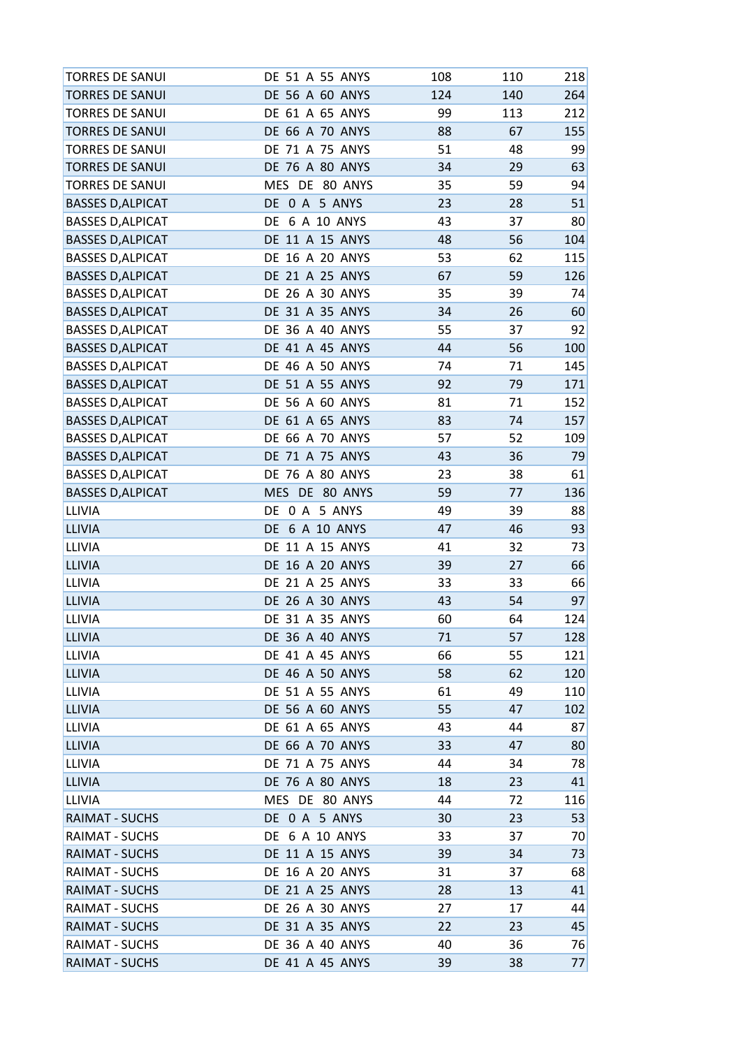| <b>TORRES DE SANUI</b>   | DE 51 A 55 ANYS        | 108 | 110 | 218 |
|--------------------------|------------------------|-----|-----|-----|
| <b>TORRES DE SANUI</b>   | DE 56 A 60 ANYS        | 124 | 140 | 264 |
| <b>TORRES DE SANUI</b>   | DE 61 A 65 ANYS        | 99  | 113 | 212 |
| <b>TORRES DE SANUI</b>   | DE 66 A 70 ANYS        | 88  | 67  | 155 |
| <b>TORRES DE SANUI</b>   | DE 71 A 75 ANYS        | 51  | 48  | 99  |
| <b>TORRES DE SANUI</b>   | DE 76 A 80 ANYS        | 34  | 29  | 63  |
| <b>TORRES DE SANUI</b>   | MES DE 80 ANYS         | 35  | 59  | 94  |
| <b>BASSES D, ALPICAT</b> | DE 0 A 5 ANYS          | 23  | 28  | 51  |
| <b>BASSES D, ALPICAT</b> | DE 6 A 10 ANYS         | 43  | 37  | 80  |
| <b>BASSES D, ALPICAT</b> | DE 11 A 15 ANYS        | 48  | 56  | 104 |
| <b>BASSES D, ALPICAT</b> | DE 16 A 20 ANYS        | 53  | 62  | 115 |
| <b>BASSES D, ALPICAT</b> | <b>DE 21 A 25 ANYS</b> | 67  | 59  | 126 |
| <b>BASSES D, ALPICAT</b> | DE 26 A 30 ANYS        | 35  | 39  | 74  |
| <b>BASSES D, ALPICAT</b> | DE 31 A 35 ANYS        | 34  | 26  | 60  |
| <b>BASSES D, ALPICAT</b> | DE 36 A 40 ANYS        | 55  | 37  | 92  |
| <b>BASSES D, ALPICAT</b> | DE 41 A 45 ANYS        | 44  | 56  | 100 |
| <b>BASSES D, ALPICAT</b> | DE 46 A 50 ANYS        | 74  | 71  | 145 |
| <b>BASSES D, ALPICAT</b> | DE 51 A 55 ANYS        | 92  | 79  | 171 |
| <b>BASSES D, ALPICAT</b> | DE 56 A 60 ANYS        | 81  | 71  | 152 |
| <b>BASSES D, ALPICAT</b> | DE 61 A 65 ANYS        | 83  | 74  | 157 |
| <b>BASSES D, ALPICAT</b> | DE 66 A 70 ANYS        | 57  | 52  | 109 |
| <b>BASSES D, ALPICAT</b> | DE 71 A 75 ANYS        | 43  | 36  | 79  |
| <b>BASSES D, ALPICAT</b> | DE 76 A 80 ANYS        | 23  | 38  | 61  |
| <b>BASSES D, ALPICAT</b> | MES DE 80 ANYS         | 59  | 77  | 136 |
| <b>LLIVIA</b>            | DE 0 A 5 ANYS          | 49  | 39  | 88  |
| <b>LLIVIA</b>            | DE 6 A 10 ANYS         | 47  | 46  | 93  |
| <b>LLIVIA</b>            | DE 11 A 15 ANYS        | 41  | 32  | 73  |
| <b>LLIVIA</b>            | DE 16 A 20 ANYS        | 39  | 27  | 66  |
| LLIVIA                   | DE 21 A 25 ANYS        | 33  | 33  | 66  |
| <b>LLIVIA</b>            | DE 26 A 30 ANYS        | 43  | 54  | 97  |
| LLIVIA                   | DE 31 A 35 ANYS        | 60  | 64  | 124 |
| <b>LLIVIA</b>            | DE 36 A 40 ANYS        | 71  | 57  | 128 |
| <b>LLIVIA</b>            | DE 41 A 45 ANYS        | 66  | 55  | 121 |
| <b>LLIVIA</b>            | DE 46 A 50 ANYS        | 58  | 62  | 120 |
| LLIVIA                   | DE 51 A 55 ANYS        | 61  | 49  | 110 |
| <b>LLIVIA</b>            | DE 56 A 60 ANYS        | 55  | 47  | 102 |
| LLIVIA                   | DE 61 A 65 ANYS        | 43  | 44  | 87  |
| <b>LLIVIA</b>            | DE 66 A 70 ANYS        | 33  | 47  | 80  |
| <b>LLIVIA</b>            | DE 71 A 75 ANYS        | 44  | 34  | 78  |
| <b>LLIVIA</b>            | DE 76 A 80 ANYS        | 18  | 23  | 41  |
| LLIVIA                   | MES DE 80 ANYS         | 44  | 72  | 116 |
| <b>RAIMAT - SUCHS</b>    | DE 0 A 5 ANYS          | 30  | 23  | 53  |
| <b>RAIMAT - SUCHS</b>    | DE 6 A 10 ANYS         | 33  | 37  | 70  |
| <b>RAIMAT - SUCHS</b>    | DE 11 A 15 ANYS        | 39  | 34  | 73  |
| <b>RAIMAT - SUCHS</b>    | DE 16 A 20 ANYS        | 31  | 37  | 68  |
| <b>RAIMAT - SUCHS</b>    | DE 21 A 25 ANYS        | 28  | 13  | 41  |
| RAIMAT - SUCHS           | DE 26 A 30 ANYS        | 27  | 17  | 44  |
| <b>RAIMAT - SUCHS</b>    | DE 31 A 35 ANYS        | 22  | 23  | 45  |
| <b>RAIMAT - SUCHS</b>    | DE 36 A 40 ANYS        | 40  | 36  | 76  |
| <b>RAIMAT - SUCHS</b>    | DE 41 A 45 ANYS        | 39  | 38  | 77  |